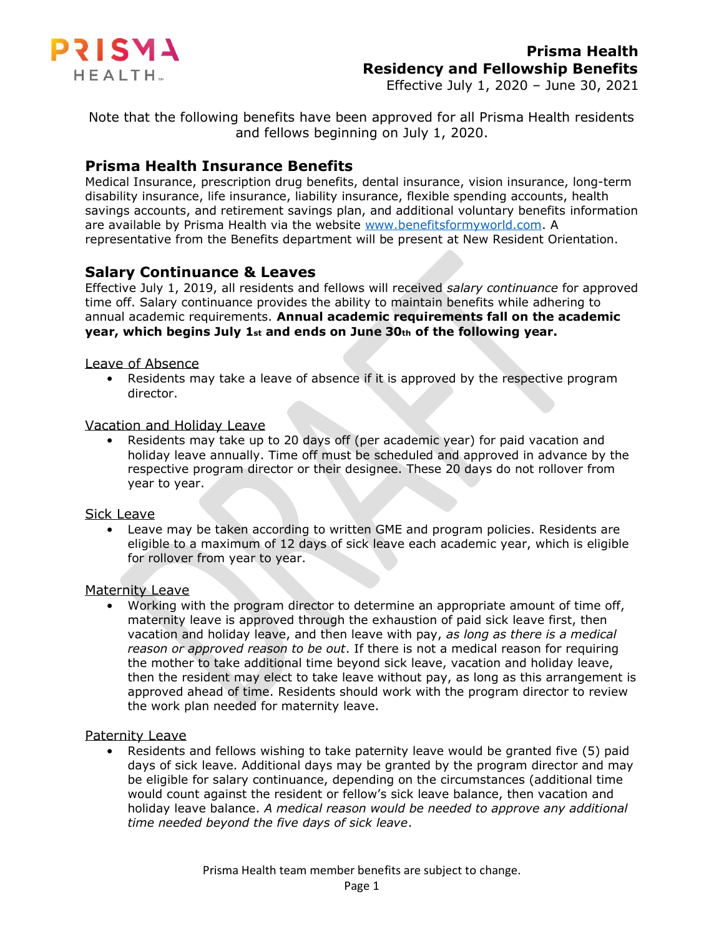

Effective July 1, 2020 – June 30, 2021

Note that the following benefits have been approved for all Prisma Health residents and fellows beginning on July 1, 2020.

### **Prisma Health Insurance Benefits**

Medical Insurance, prescription drug benefits, dental insurance, vision insurance, long-term disability insurance, life insurance, liability insurance, flexible spending accounts, health savings accounts, and retirement savings plan, and additional voluntary benefits information are available by Prisma Health via the website [www.benefitsformyworld.com.](http://www.benefitsformyworld.com/) A representative from the Benefits department will be present at New Resident Orientation.

## **Salary Continuance & Leaves**

Effective July 1, 2019, all residents and fellows will received *salary continuance* for approved time off. Salary continuance provides the ability to maintain benefits while adhering to annual academic requirements. **Annual academic requirements fall on the academic year, which begins July 1st and ends on June 30th of the following year.**

#### Leave of Absence

• Residents may take a leave of absence if it is approved by the respective program director.

#### Vacation and Holiday Leave

• Residents may take up to 20 days off (per academic year) for paid vacation and holiday leave annually. Time off must be scheduled and approved in advance by the respective program director or their designee. These 20 days do not rollover from year to year.

#### Sick Leave

• Leave may be taken according to written GME and program policies. Residents are eligible to a maximum of 12 days of sick leave each academic year, which is eligible for rollover from year to year.

#### Maternity Leave

• Working with the program director to determine an appropriate amount of time off, maternity leave is approved through the exhaustion of paid sick leave first, then vacation and holiday leave, and then leave with pay, *as long as there is a medical reason or approved reason to be out*. If there is not a medical reason for requiring the mother to take additional time beyond sick leave, vacation and holiday leave, then the resident may elect to take leave without pay, as long as this arrangement is approved ahead of time. Residents should work with the program director to review the work plan needed for maternity leave.

#### Paternity Leave

• Residents and fellows wishing to take paternity leave would be granted five (5) paid days of sick leave. Additional days may be granted by the program director and may be eligible for salary continuance, depending on the circumstances (additional time would count against the resident or fellow's sick leave balance, then vacation and holiday leave balance. *A medical reason would be needed to approve any additional time needed beyond the five days of sick leave*.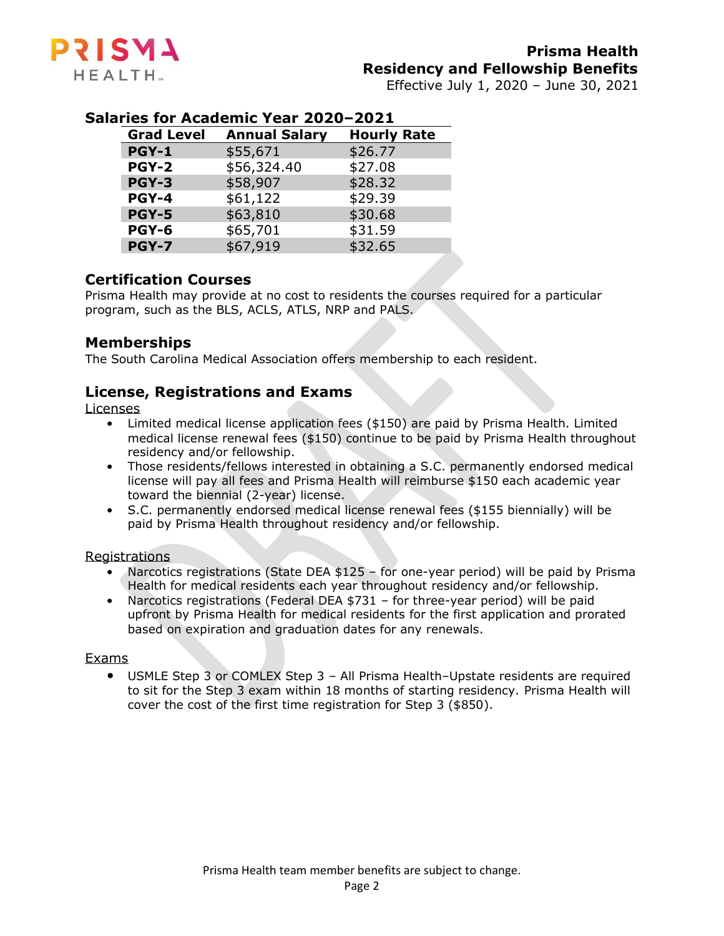

Effective July 1, 2020 – June 30, 2021

# **Salaries for Academic Year 2020–2021**

| <b>Grad Level</b> | <b>Annual Salary</b> | <b>Hourly Rate</b> |
|-------------------|----------------------|--------------------|
| <b>PGY-1</b>      | \$55,671             | \$26.77            |
| <b>PGY-2</b>      | \$56,324.40          | \$27.08            |
| <b>PGY-3</b>      | \$58,907             | \$28.32            |
| <b>PGY-4</b>      | \$61,122             | \$29.39            |
| <b>PGY-5</b>      | \$63,810             | \$30.68            |
| PGY-6             | \$65,701             | \$31.59            |
| <b>PGY-7</b>      | \$67,919             | \$32.65            |

## **Certification Courses**

Prisma Health may provide at no cost to residents the courses required for a particular program, such as the BLS, ACLS, ATLS, NRP and PALS.

## **Memberships**

The South Carolina Medical Association offers membership to each resident.

## **License, Registrations and Exams**

#### Licenses

- Limited medical license application fees (\$150) are paid by Prisma Health. Limited medical license renewal fees (\$150) continue to be paid by Prisma Health throughout residency and/or fellowship.
- Those residents/fellows interested in obtaining a S.C. permanently endorsed medical license will pay all fees and Prisma Health will reimburse \$150 each academic year toward the biennial (2-year) license.
- S.C. permanently endorsed medical license renewal fees (\$155 biennially) will be paid by Prisma Health throughout residency and/or fellowship.

#### Registrations

- Narcotics registrations (State DEA \$125 for one-year period) will be paid by Prisma Health for medical residents each year throughout residency and/or fellowship.
- Narcotics registrations (Federal DEA \$731 for three-year period) will be paid upfront by Prisma Health for medical residents for the first application and prorated based on expiration and graduation dates for any renewals.

#### Exams

• USMLE Step 3 or COMLEX Step 3 – All Prisma Health–Upstate residents are required to sit for the Step 3 exam within 18 months of starting residency. Prisma Health will cover the cost of the first time registration for Step 3 (\$850).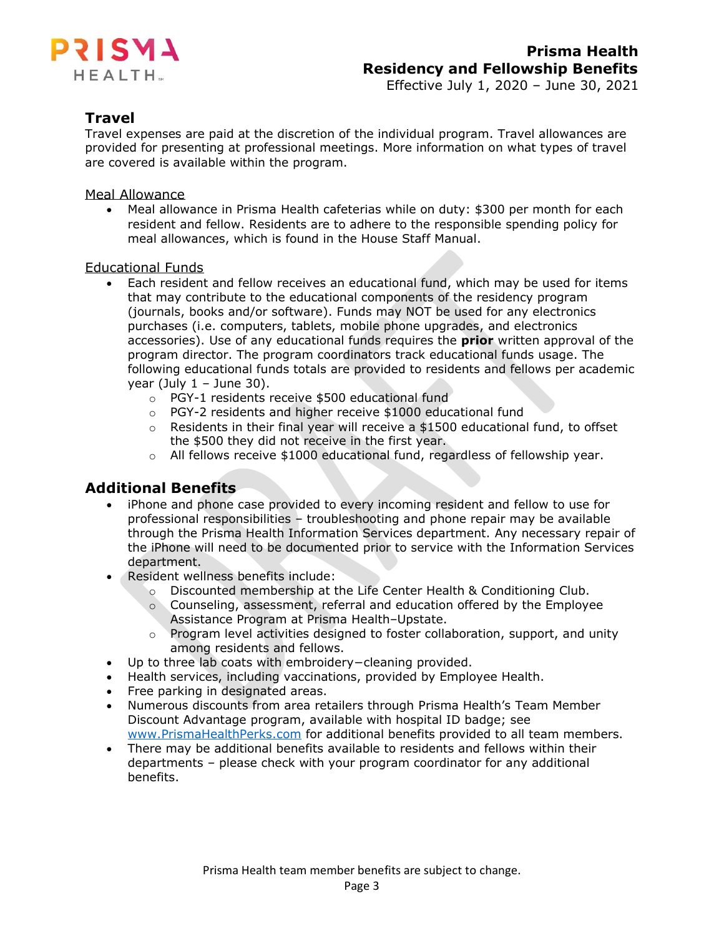

## **Travel**

Travel expenses are paid at the discretion of the individual program. Travel allowances are provided for presenting at professional meetings. More information on what types of travel are covered is available within the program.

### Meal Allowance

• Meal allowance in Prisma Health cafeterias while on duty: \$300 per month for each resident and fellow. Residents are to adhere to the responsible spending policy for meal allowances, which is found in the House Staff Manual.

### Educational Funds

- Each resident and fellow receives an educational fund, which may be used for items that may contribute to the educational components of the residency program (journals, books and/or software). Funds may NOT be used for any electronics purchases (i.e. computers, tablets, mobile phone upgrades, and electronics accessories). Use of any educational funds requires the **prior** written approval of the program director. The program coordinators track educational funds usage. The following educational funds totals are provided to residents and fellows per academic year (July  $1 -$  June 30).
	- o PGY-1 residents receive \$500 educational fund
	- o PGY-2 residents and higher receive \$1000 educational fund
	- $\circ$  Residents in their final year will receive a \$1500 educational fund, to offset the \$500 they did not receive in the first year.
	- $\circ$  All fellows receive \$1000 educational fund, regardless of fellowship year.

## **Additional Benefits**

- iPhone and phone case provided to every incoming resident and fellow to use for professional responsibilities – troubleshooting and phone repair may be available through the Prisma Health Information Services department. Any necessary repair of the iPhone will need to be documented prior to service with the Information Services department.
- Resident wellness benefits include:
	- o Discounted membership at the Life Center Health & Conditioning Club.
	- o Counseling, assessment, referral and education offered by the Employee Assistance Program at Prisma Health–Upstate.
	- o Program level activities designed to foster collaboration, support, and unity among residents and fellows.
- Up to three lab coats with embroidery−cleaning provided.
- Health services, including vaccinations, provided by Employee Health.
- Free parking in designated areas.
- Numerous discounts from area retailers through Prisma Health's Team Member Discount Advantage program, available with hospital ID badge; see [www.PrismaHealthPerks.com](http://www.prismahealthperks.com/) for additional benefits provided to all team members.
- There may be additional benefits available to residents and fellows within their departments – please check with your program coordinator for any additional benefits.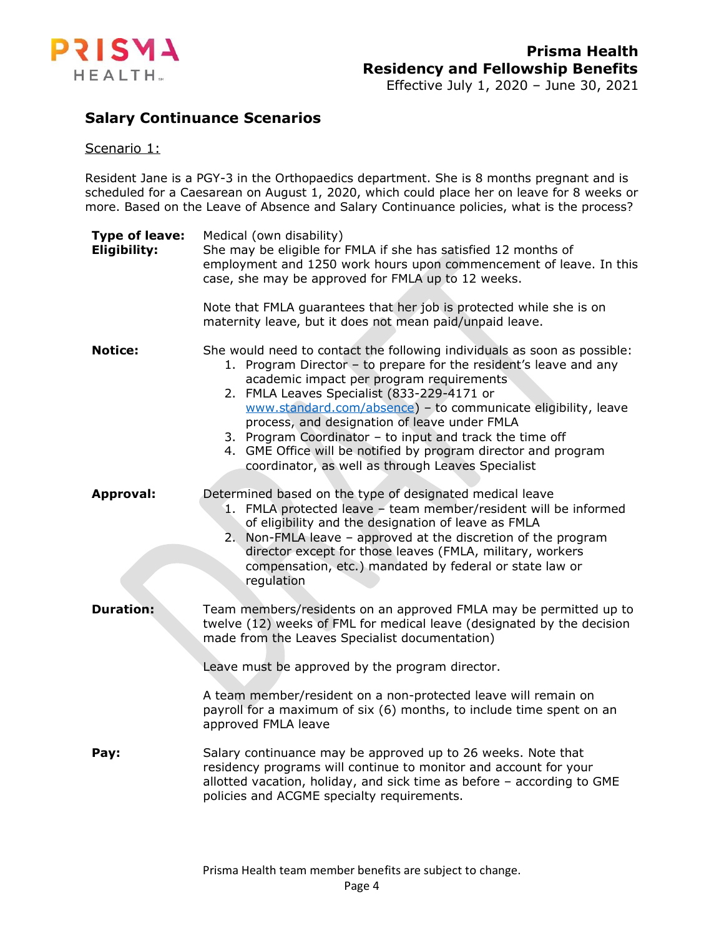

## **Salary Continuance Scenarios**

#### Scenario 1:

Resident Jane is a PGY-3 in the Orthopaedics department. She is 8 months pregnant and is scheduled for a Caesarean on August 1, 2020, which could place her on leave for 8 weeks or more. Based on the Leave of Absence and Salary Continuance policies, what is the process?

| <b>Type of leave:</b><br><b>Eligibility:</b> | Medical (own disability)<br>She may be eligible for FMLA if she has satisfied 12 months of<br>employment and 1250 work hours upon commencement of leave. In this<br>case, she may be approved for FMLA up to 12 weeks.                                                                                                                                                                                                                                                                                                                      |
|----------------------------------------------|---------------------------------------------------------------------------------------------------------------------------------------------------------------------------------------------------------------------------------------------------------------------------------------------------------------------------------------------------------------------------------------------------------------------------------------------------------------------------------------------------------------------------------------------|
|                                              | Note that FMLA guarantees that her job is protected while she is on<br>maternity leave, but it does not mean paid/unpaid leave.                                                                                                                                                                                                                                                                                                                                                                                                             |
| <b>Notice:</b>                               | She would need to contact the following individuals as soon as possible:<br>1. Program Director - to prepare for the resident's leave and any<br>academic impact per program requirements<br>2. FMLA Leaves Specialist (833-229-4171 or<br>www.standard.com/absence) - to communicate eligibility, leave<br>process, and designation of leave under FMLA<br>3. Program Coordinator - to input and track the time off<br>4. GME Office will be notified by program director and program<br>coordinator, as well as through Leaves Specialist |
| <b>Approval:</b>                             | Determined based on the type of designated medical leave<br>1. FMLA protected leave - team member/resident will be informed<br>of eligibility and the designation of leave as FMLA<br>2. Non-FMLA leave - approved at the discretion of the program<br>director except for those leaves (FMLA, military, workers<br>compensation, etc.) mandated by federal or state law or<br>regulation                                                                                                                                                   |
| <b>Duration:</b>                             | Team members/residents on an approved FMLA may be permitted up to<br>twelve (12) weeks of FML for medical leave (designated by the decision<br>made from the Leaves Specialist documentation)<br>Leave must be approved by the program director.<br>A team member/resident on a non-protected leave will remain on<br>payroll for a maximum of six (6) months, to include time spent on an<br>approved FMLA leave                                                                                                                           |
| Pay:                                         | Salary continuance may be approved up to 26 weeks. Note that<br>residency programs will continue to monitor and account for your<br>allotted vacation, holiday, and sick time as before - according to GME<br>policies and ACGME specialty requirements.                                                                                                                                                                                                                                                                                    |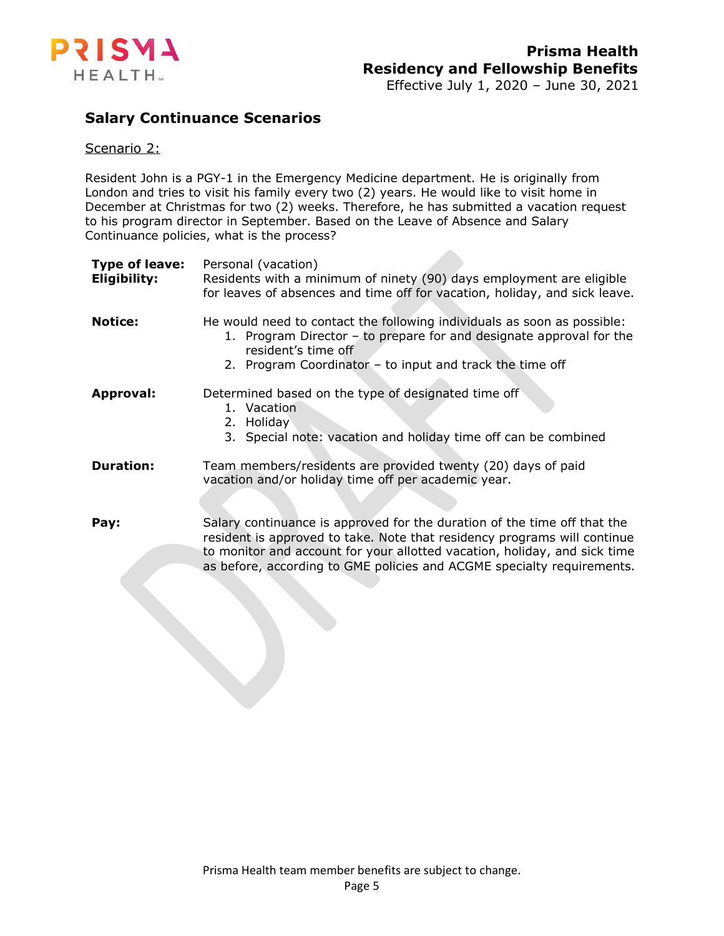

# **Salary Continuance Scenarios**

#### Scenario 2:

Resident John is a PGY-1 in the Emergency Medicine department. He is originally from London and tries to visit his family every two (2) years. He would like to visit home in December at Christmas for two (2) weeks. Therefore, he has submitted a vacation request to his program director in September. Based on the Leave of Absence and Salary Continuance policies, what is the process?

| <b>Type of leave:</b><br>Eligibility: | Personal (vacation)<br>Residents with a minimum of ninety (90) days employment are eligible<br>for leaves of absences and time off for vacation, holiday, and sick leave.                                                                                                                                   |
|---------------------------------------|-------------------------------------------------------------------------------------------------------------------------------------------------------------------------------------------------------------------------------------------------------------------------------------------------------------|
| <b>Notice:</b>                        | He would need to contact the following individuals as soon as possible:<br>1. Program Director - to prepare for and designate approval for the<br>resident's time off<br>2. Program Coordinator - to input and track the time off                                                                           |
| <b>Approval:</b>                      | Determined based on the type of designated time off<br>1. Vacation<br>2. Holiday<br>3. Special note: vacation and holiday time off can be combined                                                                                                                                                          |
| <b>Duration:</b>                      | Team members/residents are provided twenty (20) days of paid<br>vacation and/or holiday time off per academic year.                                                                                                                                                                                         |
| Pay:                                  | Salary continuance is approved for the duration of the time off that the<br>resident is approved to take. Note that residency programs will continue<br>to monitor and account for your allotted vacation, holiday, and sick time<br>as before, according to GME policies and ACGME specialty requirements. |